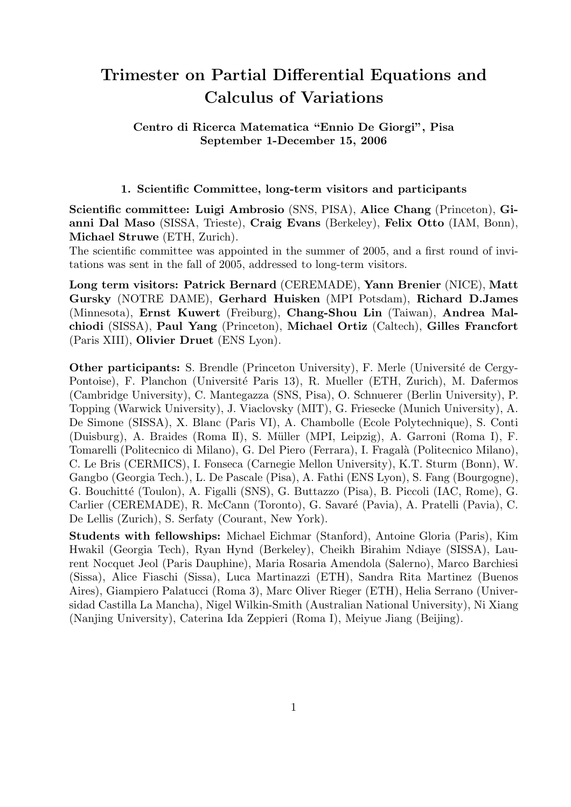# Trimester on Partial Differential Equations and Calculus of Variations

Centro di Ricerca Matematica "Ennio De Giorgi", Pisa September 1-December 15, 2006

#### 1. Scientific Committee, long-term visitors and participants

Scientific committee: Luigi Ambrosio (SNS, PISA), Alice Chang (Princeton), Gianni Dal Maso (SISSA, Trieste), Craig Evans (Berkeley), Felix Otto (IAM, Bonn), Michael Struwe (ETH, Zurich).

The scientific committee was appointed in the summer of 2005, and a first round of invitations was sent in the fall of 2005, addressed to long-term visitors.

Long term visitors: Patrick Bernard (CEREMADE), Yann Brenier (NICE), Matt Gursky (NOTRE DAME), Gerhard Huisken (MPI Potsdam), Richard D.James (Minnesota), Ernst Kuwert (Freiburg), Chang-Shou Lin (Taiwan), Andrea Malchiodi (SISSA), Paul Yang (Princeton), Michael Ortiz (Caltech), Gilles Francfort (Paris XIII), Olivier Druet (ENS Lyon).

**Other participants:** S. Brendle (Princeton University), F. Merle (Université de Cergy-Pontoise), F. Planchon (Université Paris 13), R. Mueller (ETH, Zurich), M. Dafermos (Cambridge University), C. Mantegazza (SNS, Pisa), O. Schnuerer (Berlin University), P. Topping (Warwick University), J. Viaclovsky (MIT), G. Friesecke (Munich University), A. De Simone (SISSA), X. Blanc (Paris VI), A. Chambolle (Ecole Polytechnique), S. Conti (Duisburg), A. Braides (Roma II), S. M¨uller (MPI, Leipzig), A. Garroni (Roma I), F. Tomarelli (Politecnico di Milano), G. Del Piero (Ferrara), I. Fragalà (Politecnico Milano), C. Le Bris (CERMICS), I. Fonseca (Carnegie Mellon University), K.T. Sturm (Bonn), W. Gangbo (Georgia Tech.), L. De Pascale (Pisa), A. Fathi (ENS Lyon), S. Fang (Bourgogne), G. Bouchitt´e (Toulon), A. Figalli (SNS), G. Buttazzo (Pisa), B. Piccoli (IAC, Rome), G. Carlier (CEREMADE), R. McCann (Toronto), G. Savaré (Pavia), A. Pratelli (Pavia), C. De Lellis (Zurich), S. Serfaty (Courant, New York).

Students with fellowships: Michael Eichmar (Stanford), Antoine Gloria (Paris), Kim Hwakil (Georgia Tech), Ryan Hynd (Berkeley), Cheikh Birahim Ndiaye (SISSA), Laurent Nocquet Jeol (Paris Dauphine), Maria Rosaria Amendola (Salerno), Marco Barchiesi (Sissa), Alice Fiaschi (Sissa), Luca Martinazzi (ETH), Sandra Rita Martinez (Buenos Aires), Giampiero Palatucci (Roma 3), Marc Oliver Rieger (ETH), Helia Serrano (Universidad Castilla La Mancha), Nigel Wilkin-Smith (Australian National University), Ni Xiang (Nanjing University), Caterina Ida Zeppieri (Roma I), Meiyue Jiang (Beijing).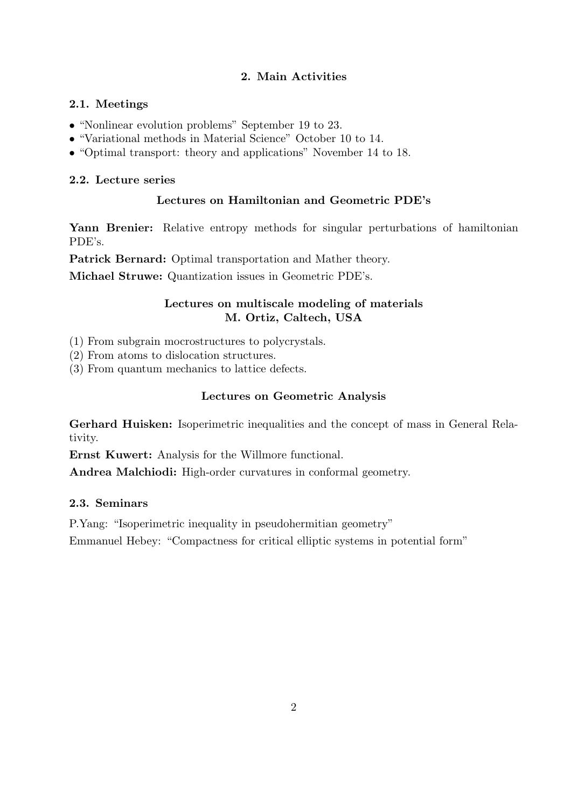# 2. Main Activities

## 2.1. Meetings

- "Nonlinear evolution problems" September 19 to 23.
- "Variational methods in Material Science" October 10 to 14.
- "Optimal transport: theory and applications" November 14 to 18.

## 2.2. Lecture series

## Lectures on Hamiltonian and Geometric PDE's

Yann Brenier: Relative entropy methods for singular perturbations of hamiltonian PDE's.

Patrick Bernard: Optimal transportation and Mather theory.

Michael Struwe: Quantization issues in Geometric PDE's.

# Lectures on multiscale modeling of materials M. Ortiz, Caltech, USA

(1) From subgrain mocrostructures to polycrystals.

- (2) From atoms to dislocation structures.
- (3) From quantum mechanics to lattice defects.

# Lectures on Geometric Analysis

Gerhard Huisken: Isoperimetric inequalities and the concept of mass in General Relativity.

Ernst Kuwert: Analysis for the Willmore functional.

Andrea Malchiodi: High-order curvatures in conformal geometry.

## 2.3. Seminars

P.Yang: "Isoperimetric inequality in pseudohermitian geometry"

Emmanuel Hebey: "Compactness for critical elliptic systems in potential form"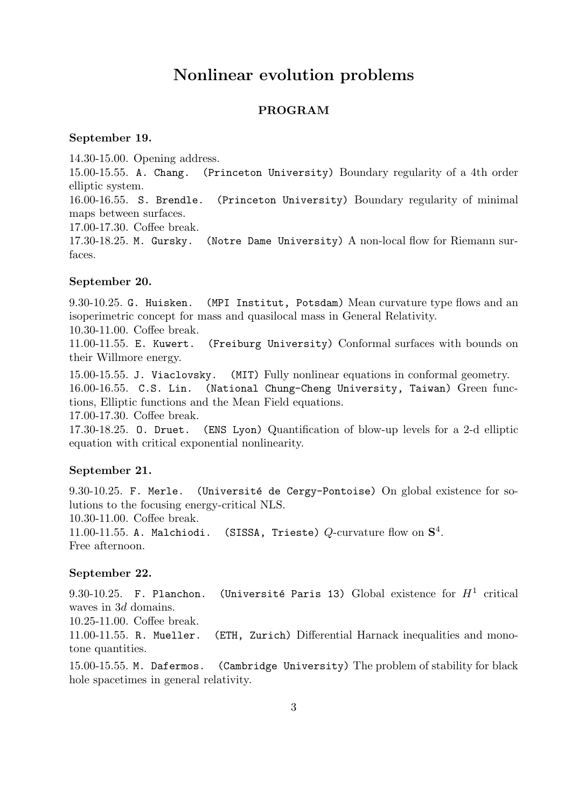# Nonlinear evolution problems

## PROGRAM

## September 19.

14.30-15.00. Opening address.

15.00-15.55. A. Chang. (Princeton University) Boundary regularity of a 4th order elliptic system.

16.00-16.55. S. Brendle. (Princeton University) Boundary regularity of minimal maps between surfaces.

17.00-17.30. Coffee break.

17.30-18.25. M. Gursky. (Notre Dame University) A non-local flow for Riemann surfaces.

#### September 20.

9.30-10.25. G. Huisken. (MPI Institut, Potsdam) Mean curvature type flows and an isoperimetric concept for mass and quasilocal mass in General Relativity.

10.30-11.00. Coffee break.

11.00-11.55. E. Kuwert. (Freiburg University) Conformal surfaces with bounds on their Willmore energy.

15.00-15.55. J. Viaclovsky. (MIT) Fully nonlinear equations in conformal geometry. 16.00-16.55. C.S. Lin. (National Chung-Cheng University, Taiwan) Green functions, Elliptic functions and the Mean Field equations.

17.00-17.30. Coffee break.

17.30-18.25. O. Druet. (ENS Lyon) Quantification of blow-up levels for a 2-d elliptic equation with critical exponential nonlinearity.

## September 21.

9.30-10.25. F. Merle. (Université de Cergy-Pontoise) On global existence for solutions to the focusing energy-critical NLS.

10.30-11.00. Coffee break.

11.00-11.55. A. Malchiodi. (SISSA, Trieste)  $Q$ -curvature flow on  $S^4$ . Free afternoon.

## September 22.

9.30–10.25. F. Planchon. (Université Paris 13) Global existence for  $H^1$  critical waves in 3d domains.

10.25-11.00. Coffee break.

11.00-11.55. R. Mueller. (ETH, Zurich) Differential Harnack inequalities and monotone quantities.

15.00-15.55. M. Dafermos. (Cambridge University) The problem of stability for black hole spacetimes in general relativity.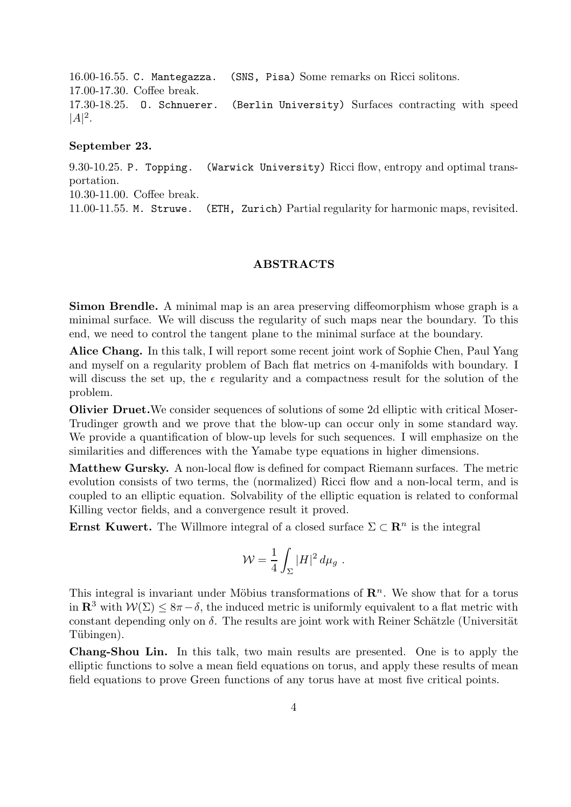16.00-16.55. C. Mantegazza. (SNS, Pisa) Some remarks on Ricci solitons. 17.00-17.30. Coffee break. 17.30-18.25. O. Schnuerer. (Berlin University) Surfaces contracting with speed  $|A|^2.$ 

#### September 23.

9.30-10.25. P. Topping. (Warwick University) Ricci flow, entropy and optimal transportation. 10.30-11.00. Coffee break. 11.00-11.55. M. Struwe. (ETH, Zurich) Partial regularity for harmonic maps, revisited.

#### ABSTRACTS

Simon Brendle. A minimal map is an area preserving diffeomorphism whose graph is a minimal surface. We will discuss the regularity of such maps near the boundary. To this end, we need to control the tangent plane to the minimal surface at the boundary.

Alice Chang. In this talk, I will report some recent joint work of Sophie Chen, Paul Yang and myself on a regularity problem of Bach flat metrics on 4-manifolds with boundary. I will discuss the set up, the  $\epsilon$  regularity and a compactness result for the solution of the problem.

Olivier Druet.We consider sequences of solutions of some 2d elliptic with critical Moser-Trudinger growth and we prove that the blow-up can occur only in some standard way. We provide a quantification of blow-up levels for such sequences. I will emphasize on the similarities and differences with the Yamabe type equations in higher dimensions.

Matthew Gursky. A non-local flow is defined for compact Riemann surfaces. The metric evolution consists of two terms, the (normalized) Ricci flow and a non-local term, and is coupled to an elliptic equation. Solvability of the elliptic equation is related to conformal Killing vector fields, and a convergence result it proved.

**Ernst Kuwert.** The Willmore integral of a closed surface  $\Sigma \subset \mathbb{R}^n$  is the integral

$$
\mathcal{W} = \frac{1}{4} \int_{\Sigma} |H|^2 \, d\mu_g \; .
$$

This integral is invariant under Möbius transformations of  $\mathbb{R}^n$ . We show that for a torus in  $\mathbb{R}^3$  with  $\mathcal{W}(\Sigma) \leq 8\pi - \delta$ , the induced metric is uniformly equivalent to a flat metric with constant depending only on  $\delta$ . The results are joint work with Reiner Schätzle (Universität Tübingen).

Chang-Shou Lin. In this talk, two main results are presented. One is to apply the elliptic functions to solve a mean field equations on torus, and apply these results of mean field equations to prove Green functions of any torus have at most five critical points.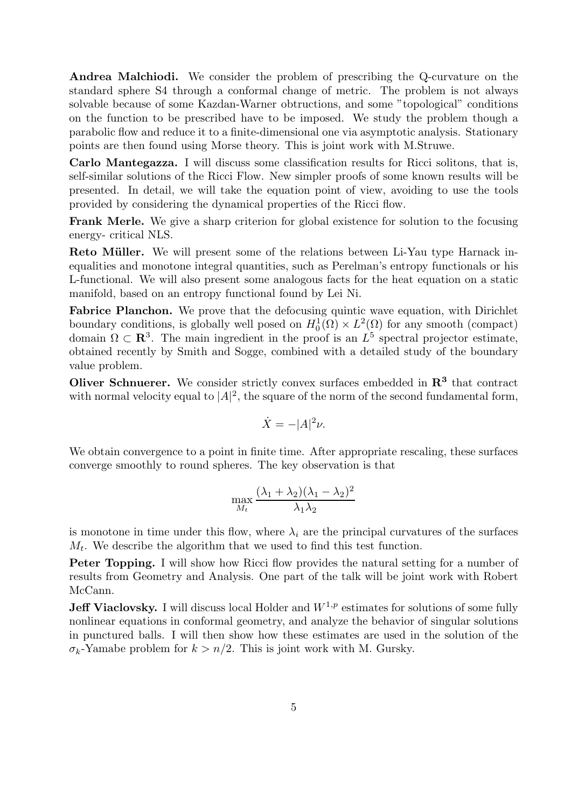Andrea Malchiodi. We consider the problem of prescribing the Q-curvature on the standard sphere S4 through a conformal change of metric. The problem is not always solvable because of some Kazdan-Warner obtructions, and some "topological" conditions on the function to be prescribed have to be imposed. We study the problem though a parabolic flow and reduce it to a finite-dimensional one via asymptotic analysis. Stationary points are then found using Morse theory. This is joint work with M.Struwe.

Carlo Mantegazza. I will discuss some classification results for Ricci solitons, that is, self-similar solutions of the Ricci Flow. New simpler proofs of some known results will be presented. In detail, we will take the equation point of view, avoiding to use the tools provided by considering the dynamical properties of the Ricci flow.

Frank Merle. We give a sharp criterion for global existence for solution to the focusing energy- critical NLS.

**Reto Müller.** We will present some of the relations between Li-Yau type Harnack inequalities and monotone integral quantities, such as Perelman's entropy functionals or his L-functional. We will also present some analogous facts for the heat equation on a static manifold, based on an entropy functional found by Lei Ni.

Fabrice Planchon. We prove that the defocusing quintic wave equation, with Dirichlet boundary conditions, is globally well posed on  $H_0^1(\Omega) \times L^2(\Omega)$  for any smooth (compact) domain  $\Omega \subset \mathbb{R}^3$ . The main ingredient in the proof is an  $L^5$  spectral projector estimate, obtained recently by Smith and Sogge, combined with a detailed study of the boundary value problem.

Oliver Schnuerer. We consider strictly convex surfaces embedded in  $\mathbb{R}^3$  that contract with normal velocity equal to  $|A|^2$ , the square of the norm of the second fundamental form,

$$
\dot{X} = -|A|^2 \nu.
$$

We obtain convergence to a point in finite time. After appropriate rescaling, these surfaces converge smoothly to round spheres. The key observation is that

$$
\max_{M_t} \frac{(\lambda_1 + \lambda_2)(\lambda_1 - \lambda_2)^2}{\lambda_1 \lambda_2}
$$

is monotone in time under this flow, where  $\lambda_i$  are the principal curvatures of the surfaces  $M_t$ . We describe the algorithm that we used to find this test function.

Peter Topping. I will show how Ricci flow provides the natural setting for a number of results from Geometry and Analysis. One part of the talk will be joint work with Robert McCann.

**Jeff Viaclovsky.** I will discuss local Holder and  $W^{1,p}$  estimates for solutions of some fully nonlinear equations in conformal geometry, and analyze the behavior of singular solutions in punctured balls. I will then show how these estimates are used in the solution of the  $\sigma_k$ -Yamabe problem for  $k > n/2$ . This is joint work with M. Gursky.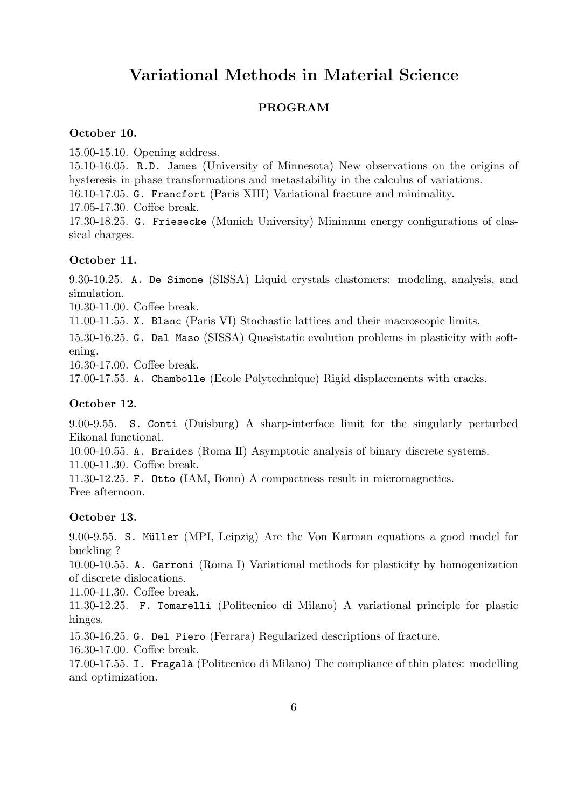# Variational Methods in Material Science

## PROGRAM

## October 10.

15.00-15.10. Opening address.

15.10-16.05. R.D. James (University of Minnesota) New observations on the origins of hysteresis in phase transformations and metastability in the calculus of variations. 16.10-17.05. G. Francfort (Paris XIII) Variational fracture and minimality. 17.05-17.30. Coffee break. 17.30-18.25. G. Friesecke (Munich University) Minimum energy configurations of clas-

#### October 11.

sical charges.

9.30-10.25. A. De Simone (SISSA) Liquid crystals elastomers: modeling, analysis, and simulation.

10.30-11.00. Coffee break.

11.00-11.55. X. Blanc (Paris VI) Stochastic lattices and their macroscopic limits.

15.30-16.25. G. Dal Maso (SISSA) Quasistatic evolution problems in plasticity with softening.

16.30-17.00. Coffee break.

17.00-17.55. A. Chambolle (Ecole Polytechnique) Rigid displacements with cracks.

#### October 12.

9.00-9.55. S. Conti (Duisburg) A sharp-interface limit for the singularly perturbed Eikonal functional.

10.00-10.55. A. Braides (Roma II) Asymptotic analysis of binary discrete systems. 11.00-11.30. Coffee break.

11.30-12.25. F. Otto (IAM, Bonn) A compactness result in micromagnetics. Free afternoon.

## October 13.

9.00-9.55. S. Müller (MPI, Leipzig) Are the Von Karman equations a good model for buckling ?

10.00-10.55. A. Garroni (Roma I) Variational methods for plasticity by homogenization of discrete dislocations.

11.00-11.30. Coffee break.

11.30-12.25. F. Tomarelli (Politecnico di Milano) A variational principle for plastic hinges.

15.30-16.25. G. Del Piero (Ferrara) Regularized descriptions of fracture.

16.30-17.00. Coffee break.

17.00-17.55. I. Fragal`a (Politecnico di Milano) The compliance of thin plates: modelling and optimization.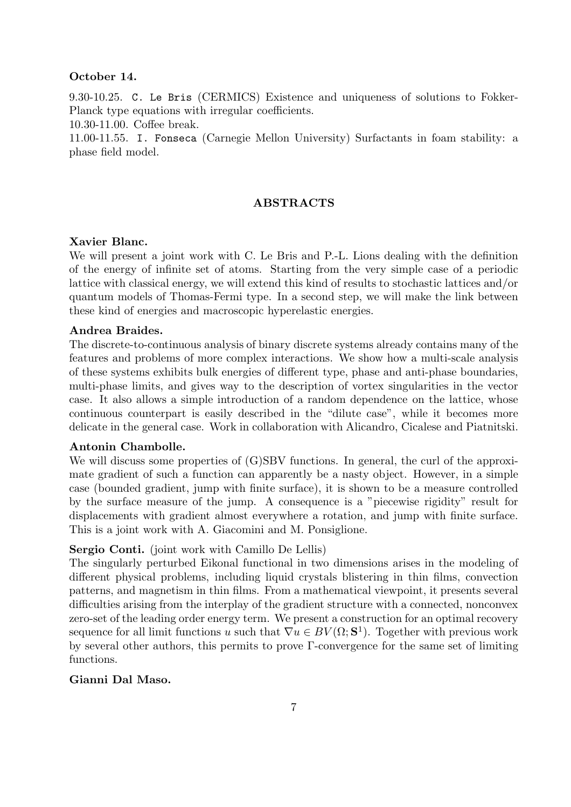#### October 14.

9.30-10.25. C. Le Bris (CERMICS) Existence and uniqueness of solutions to Fokker-Planck type equations with irregular coefficients.

10.30-11.00. Coffee break.

11.00-11.55. I. Fonseca (Carnegie Mellon University) Surfactants in foam stability: a phase field model.

#### ABSTRACTS

#### Xavier Blanc.

We will present a joint work with C. Le Bris and P.-L. Lions dealing with the definition of the energy of infinite set of atoms. Starting from the very simple case of a periodic lattice with classical energy, we will extend this kind of results to stochastic lattices and/or quantum models of Thomas-Fermi type. In a second step, we will make the link between these kind of energies and macroscopic hyperelastic energies.

#### Andrea Braides.

The discrete-to-continuous analysis of binary discrete systems already contains many of the features and problems of more complex interactions. We show how a multi-scale analysis of these systems exhibits bulk energies of different type, phase and anti-phase boundaries, multi-phase limits, and gives way to the description of vortex singularities in the vector case. It also allows a simple introduction of a random dependence on the lattice, whose continuous counterpart is easily described in the "dilute case", while it becomes more delicate in the general case. Work in collaboration with Alicandro, Cicalese and Piatnitski.

#### Antonin Chambolle.

We will discuss some properties of (G)SBV functions. In general, the curl of the approximate gradient of such a function can apparently be a nasty object. However, in a simple case (bounded gradient, jump with finite surface), it is shown to be a measure controlled by the surface measure of the jump. A consequence is a "piecewise rigidity" result for displacements with gradient almost everywhere a rotation, and jump with finite surface. This is a joint work with A. Giacomini and M. Ponsiglione.

#### Sergio Conti. (joint work with Camillo De Lellis)

The singularly perturbed Eikonal functional in two dimensions arises in the modeling of different physical problems, including liquid crystals blistering in thin films, convection patterns, and magnetism in thin films. From a mathematical viewpoint, it presents several difficulties arising from the interplay of the gradient structure with a connected, nonconvex zero-set of the leading order energy term. We present a construction for an optimal recovery sequence for all limit functions u such that  $\nabla u \in BV(\Omega; \mathbf{S}^1)$ . Together with previous work by several other authors, this permits to prove Γ-convergence for the same set of limiting functions.

## Gianni Dal Maso.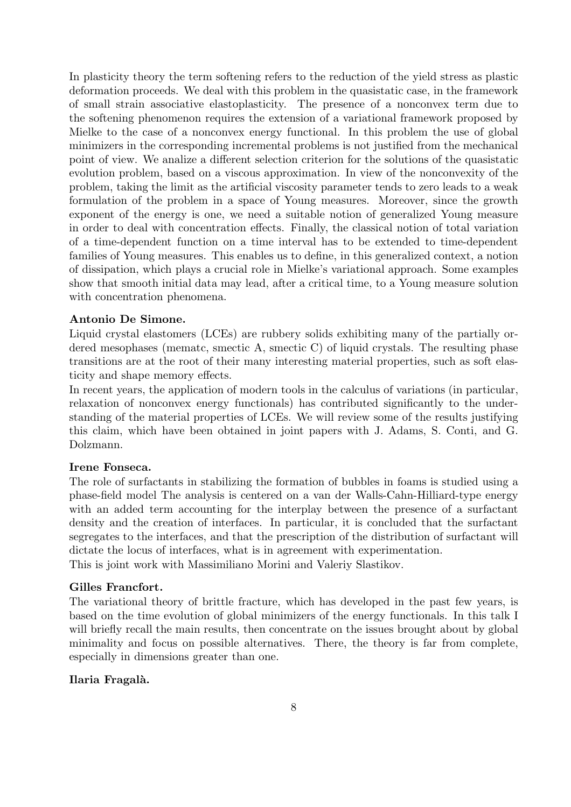In plasticity theory the term softening refers to the reduction of the yield stress as plastic deformation proceeds. We deal with this problem in the quasistatic case, in the framework of small strain associative elastoplasticity. The presence of a nonconvex term due to the softening phenomenon requires the extension of a variational framework proposed by Mielke to the case of a nonconvex energy functional. In this problem the use of global minimizers in the corresponding incremental problems is not justified from the mechanical point of view. We analize a different selection criterion for the solutions of the quasistatic evolution problem, based on a viscous approximation. In view of the nonconvexity of the problem, taking the limit as the artificial viscosity parameter tends to zero leads to a weak formulation of the problem in a space of Young measures. Moreover, since the growth exponent of the energy is one, we need a suitable notion of generalized Young measure in order to deal with concentration effects. Finally, the classical notion of total variation of a time-dependent function on a time interval has to be extended to time-dependent families of Young measures. This enables us to define, in this generalized context, a notion of dissipation, which plays a crucial role in Mielke's variational approach. Some examples show that smooth initial data may lead, after a critical time, to a Young measure solution with concentration phenomena.

## Antonio De Simone.

Liquid crystal elastomers (LCEs) are rubbery solids exhibiting many of the partially ordered mesophases (mematc, smectic A, smectic C) of liquid crystals. The resulting phase transitions are at the root of their many interesting material properties, such as soft elasticity and shape memory effects.

In recent years, the application of modern tools in the calculus of variations (in particular, relaxation of nonconvex energy functionals) has contributed significantly to the understanding of the material properties of LCEs. We will review some of the results justifying this claim, which have been obtained in joint papers with J. Adams, S. Conti, and G. Dolzmann.

## Irene Fonseca.

The role of surfactants in stabilizing the formation of bubbles in foams is studied using a phase-field model The analysis is centered on a van der Walls-Cahn-Hilliard-type energy with an added term accounting for the interplay between the presence of a surfactant density and the creation of interfaces. In particular, it is concluded that the surfactant segregates to the interfaces, and that the prescription of the distribution of surfactant will dictate the locus of interfaces, what is in agreement with experimentation.

This is joint work with Massimiliano Morini and Valeriy Slastikov.

## Gilles Francfort.

The variational theory of brittle fracture, which has developed in the past few years, is based on the time evolution of global minimizers of the energy functionals. In this talk I will briefly recall the main results, then concentrate on the issues brought about by global minimality and focus on possible alternatives. There, the theory is far from complete, especially in dimensions greater than one.

#### Ilaria Fragalà.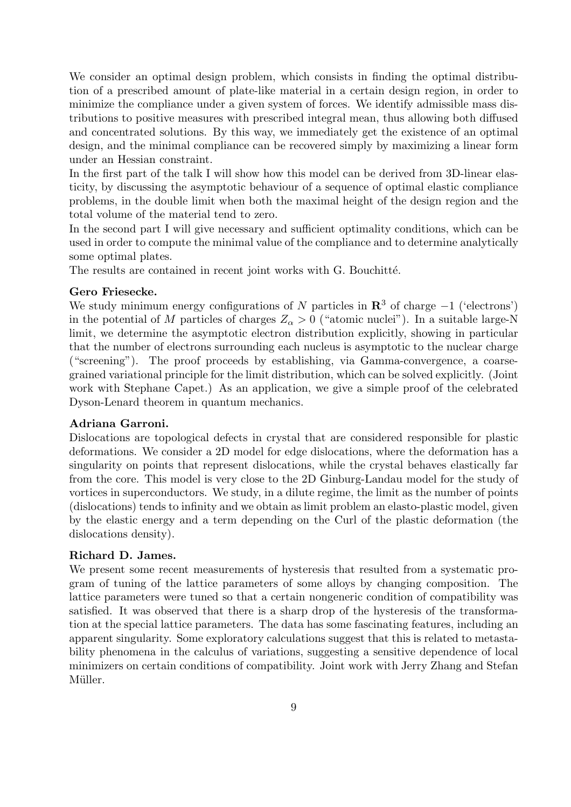We consider an optimal design problem, which consists in finding the optimal distribution of a prescribed amount of plate-like material in a certain design region, in order to minimize the compliance under a given system of forces. We identify admissible mass distributions to positive measures with prescribed integral mean, thus allowing both diffused and concentrated solutions. By this way, we immediately get the existence of an optimal design, and the minimal compliance can be recovered simply by maximizing a linear form under an Hessian constraint.

In the first part of the talk I will show how this model can be derived from 3D-linear elasticity, by discussing the asymptotic behaviour of a sequence of optimal elastic compliance problems, in the double limit when both the maximal height of the design region and the total volume of the material tend to zero.

In the second part I will give necessary and sufficient optimality conditions, which can be used in order to compute the minimal value of the compliance and to determine analytically some optimal plates.

The results are contained in recent joint works with G. Bouchitté.

## Gero Friesecke.

We study minimum energy configurations of N particles in  $\mathbb{R}^3$  of charge  $-1$  ('electrons') in the potential of M particles of charges  $Z_{\alpha} > 0$  ("atomic nuclei"). In a suitable large-N limit, we determine the asymptotic electron distribution explicitly, showing in particular that the number of electrons surrounding each nucleus is asymptotic to the nuclear charge ("screening"). The proof proceeds by establishing, via Gamma-convergence, a coarsegrained variational principle for the limit distribution, which can be solved explicitly. (Joint work with Stephane Capet.) As an application, we give a simple proof of the celebrated Dyson-Lenard theorem in quantum mechanics.

## Adriana Garroni.

Dislocations are topological defects in crystal that are considered responsible for plastic deformations. We consider a 2D model for edge dislocations, where the deformation has a singularity on points that represent dislocations, while the crystal behaves elastically far from the core. This model is very close to the 2D Ginburg-Landau model for the study of vortices in superconductors. We study, in a dilute regime, the limit as the number of points (dislocations) tends to infinity and we obtain as limit problem an elasto-plastic model, given by the elastic energy and a term depending on the Curl of the plastic deformation (the dislocations density).

## Richard D. James.

We present some recent measurements of hysteresis that resulted from a systematic program of tuning of the lattice parameters of some alloys by changing composition. The lattice parameters were tuned so that a certain nongeneric condition of compatibility was satisfied. It was observed that there is a sharp drop of the hysteresis of the transformation at the special lattice parameters. The data has some fascinating features, including an apparent singularity. Some exploratory calculations suggest that this is related to metastability phenomena in the calculus of variations, suggesting a sensitive dependence of local minimizers on certain conditions of compatibility. Joint work with Jerry Zhang and Stefan Müller.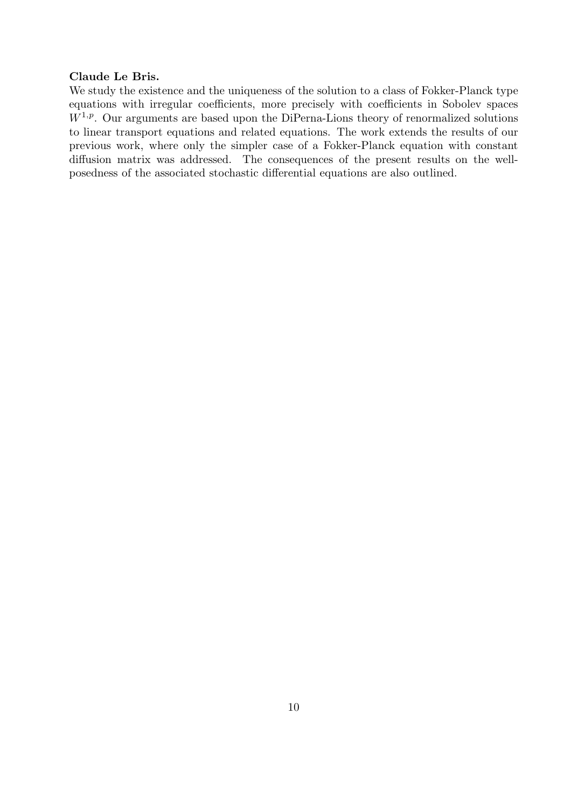#### Claude Le Bris.

We study the existence and the uniqueness of the solution to a class of Fokker-Planck type equations with irregular coefficients, more precisely with coefficients in Sobolev spaces  $W^{1,p}$ . Our arguments are based upon the DiPerna-Lions theory of renormalized solutions to linear transport equations and related equations. The work extends the results of our previous work, where only the simpler case of a Fokker-Planck equation with constant diffusion matrix was addressed. The consequences of the present results on the wellposedness of the associated stochastic differential equations are also outlined.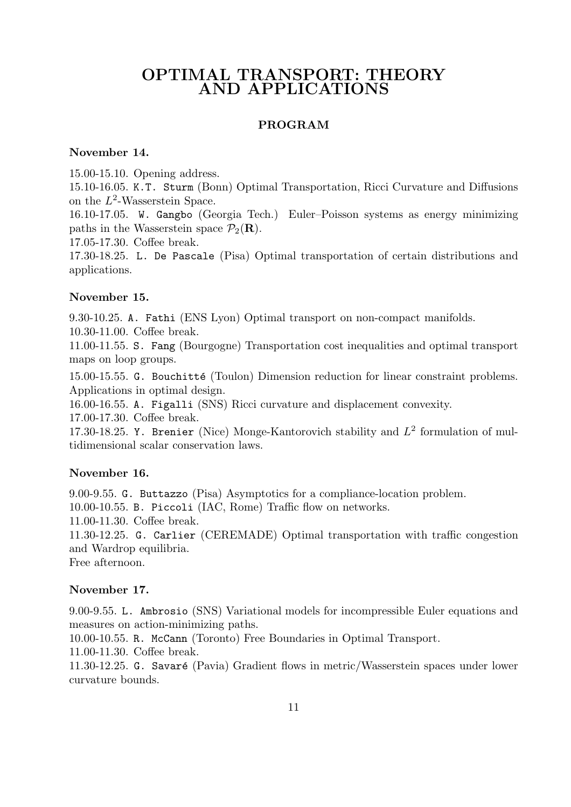# OPTIMAL TRANSPORT: THEORY AND APPLICATIONS

## PROGRAM

#### November 14.

15.00-15.10. Opening address.

15.10-16.05. K.T. Sturm (Bonn) Optimal Transportation, Ricci Curvature and Diffusions on the  $L^2$ -Wasserstein Space.

16.10-17.05. W. Gangbo (Georgia Tech.) Euler–Poisson systems as energy minimizing paths in the Wasserstein space  $\mathcal{P}_2(\mathbf{R})$ .

17.05-17.30. Coffee break.

17.30-18.25. L. De Pascale (Pisa) Optimal transportation of certain distributions and applications.

## November 15.

9.30-10.25. A. Fathi (ENS Lyon) Optimal transport on non-compact manifolds. 10.30-11.00. Coffee break.

11.00-11.55. S. Fang (Bourgogne) Transportation cost inequalities and optimal transport maps on loop groups.

15.00-15.55. G. Bouchitté (Toulon) Dimension reduction for linear constraint problems. Applications in optimal design.

16.00-16.55. A. Figalli (SNS) Ricci curvature and displacement convexity.

17.00-17.30. Coffee break.

17.30-18.25. Y. Brenier (Nice) Monge-Kantorovich stability and  $L^2$  formulation of multidimensional scalar conservation laws.

## November 16.

9.00-9.55. G. Buttazzo (Pisa) Asymptotics for a compliance-location problem. 10.00-10.55. B. Piccoli (IAC, Rome) Traffic flow on networks.

11.00-11.30. Coffee break.

11.30-12.25. G. Carlier (CEREMADE) Optimal transportation with traffic congestion and Wardrop equilibria.

Free afternoon.

## November 17.

9.00-9.55. L. Ambrosio (SNS) Variational models for incompressible Euler equations and measures on action-minimizing paths.

10.00-10.55. R. McCann (Toronto) Free Boundaries in Optimal Transport.

11.00-11.30. Coffee break.

11.30-12.25. G. Savaré (Pavia) Gradient flows in metric/Wasserstein spaces under lower curvature bounds.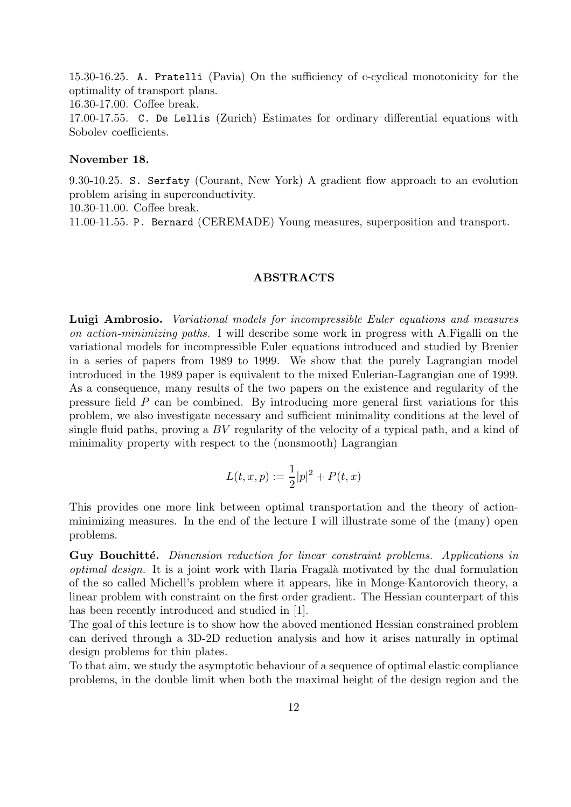15.30-16.25. A. Pratelli (Pavia) On the sufficiency of c-cyclical monotonicity for the optimality of transport plans.

16.30-17.00. Coffee break.

17.00-17.55. C. De Lellis (Zurich) Estimates for ordinary differential equations with Sobolev coefficients.

#### November 18.

9.30-10.25. S. Serfaty (Courant, New York) A gradient flow approach to an evolution problem arising in superconductivity.

10.30-11.00. Coffee break.

11.00-11.55. P. Bernard (CEREMADE) Young measures, superposition and transport.

#### ABSTRACTS

Luigi Ambrosio. Variational models for incompressible Euler equations and measures on action-minimizing paths. I will describe some work in progress with A.Figalli on the variational models for incompressible Euler equations introduced and studied by Brenier in a series of papers from 1989 to 1999. We show that the purely Lagrangian model introduced in the 1989 paper is equivalent to the mixed Eulerian-Lagrangian one of 1999. As a consequence, many results of the two papers on the existence and regularity of the pressure field P can be combined. By introducing more general first variations for this problem, we also investigate necessary and sufficient minimality conditions at the level of single fluid paths, proving a BV regularity of the velocity of a typical path, and a kind of minimality property with respect to the (nonsmooth) Lagrangian

$$
L(t, x, p) := \frac{1}{2}|p|^2 + P(t, x)
$$

This provides one more link between optimal transportation and the theory of actionminimizing measures. In the end of the lecture I will illustrate some of the (many) open problems.

Guy Bouchitté. Dimension reduction for linear constraint problems. Applications in optimal design. It is a joint work with Ilaria Fragalà motivated by the dual formulation of the so called Michell's problem where it appears, like in Monge-Kantorovich theory, a linear problem with constraint on the first order gradient. The Hessian counterpart of this has been recently introduced and studied in [1].

The goal of this lecture is to show how the aboved mentioned Hessian constrained problem can derived through a 3D-2D reduction analysis and how it arises naturally in optimal design problems for thin plates.

To that aim, we study the asymptotic behaviour of a sequence of optimal elastic compliance problems, in the double limit when both the maximal height of the design region and the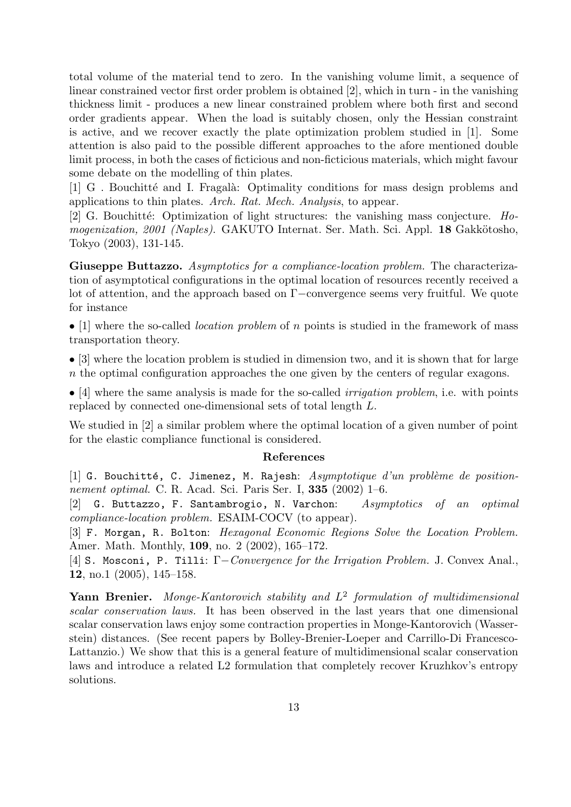total volume of the material tend to zero. In the vanishing volume limit, a sequence of linear constrained vector first order problem is obtained [2], which in turn - in the vanishing thickness limit - produces a new linear constrained problem where both first and second order gradients appear. When the load is suitably chosen, only the Hessian constraint is active, and we recover exactly the plate optimization problem studied in [1]. Some attention is also paid to the possible different approaches to the afore mentioned double limit process, in both the cases of ficticious and non-ficticious materials, which might favour some debate on the modelling of thin plates.

[1] G . Bouchitt´e and I. Fragal`a: Optimality conditions for mass design problems and applications to thin plates. Arch. Rat. Mech. Analysis, to appear.

[2] G. Bouchitté: Optimization of light structures: the vanishing mass conjecture.  $Ho$ mogenization, 2001 (Naples). GAKUTO Internat. Ser. Math. Sci. Appl. 18 Gakkötosho, Tokyo (2003), 131-145.

Giuseppe Buttazzo. Asymptotics for a compliance-location problem. The characterization of asymptotical configurations in the optimal location of resources recently received a lot of attention, and the approach based on Γ−convergence seems very fruitful. We quote for instance

• [1] where the so-called *location problem* of n points is studied in the framework of mass transportation theory.

• [3] where the location problem is studied in dimension two, and it is shown that for large n the optimal configuration approaches the one given by the centers of regular exagons.

• [4] where the same analysis is made for the so-called *irrigation problem*, i.e. with points replaced by connected one-dimensional sets of total length L.

We studied in [2] a similar problem where the optimal location of a given number of point for the elastic compliance functional is considered.

## References

[1] G. Bouchitté, C. Jimenez, M. Rajesh:  $Asymptotique$  d'un problème de positionnement optimal. C. R. Acad. Sci. Paris Ser. I, 335 (2002) 1–6.

[2] G. Buttazzo, F. Santambrogio, N. Varchon: Asymptotics of an optimal compliance-location problem. ESAIM-COCV (to appear).

[3] F. Morgan, R. Bolton: Hexagonal Economic Regions Solve the Location Problem. Amer. Math. Monthly, 109, no. 2 (2002), 165–172.

[4] S. Mosconi, P. Tilli: Γ−Convergence for the Irrigation Problem. J. Convex Anal., 12, no.1 (2005), 145–158.

Yann Brenier. Monge-Kantorovich stability and  $L^2$  formulation of multidimensional scalar conservation laws. It has been observed in the last years that one dimensional scalar conservation laws enjoy some contraction properties in Monge-Kantorovich (Wasserstein) distances. (See recent papers by Bolley-Brenier-Loeper and Carrillo-Di Francesco-Lattanzio.) We show that this is a general feature of multidimensional scalar conservation laws and introduce a related L2 formulation that completely recover Kruzhkov's entropy solutions.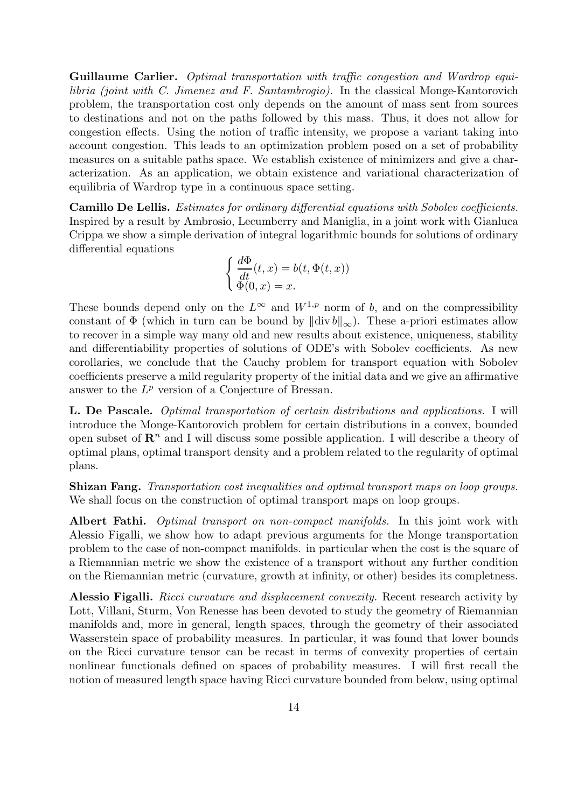Guillaume Carlier. Optimal transportation with traffic congestion and Wardrop equilibria (joint with C. Jimenez and F. Santambrogio). In the classical Monge-Kantorovich problem, the transportation cost only depends on the amount of mass sent from sources to destinations and not on the paths followed by this mass. Thus, it does not allow for congestion effects. Using the notion of traffic intensity, we propose a variant taking into account congestion. This leads to an optimization problem posed on a set of probability measures on a suitable paths space. We establish existence of minimizers and give a characterization. As an application, we obtain existence and variational characterization of equilibria of Wardrop type in a continuous space setting.

Camillo De Lellis. Estimates for ordinary differential equations with Sobolev coefficients. Inspired by a result by Ambrosio, Lecumberry and Maniglia, in a joint work with Gianluca Crippa we show a simple derivation of integral logarithmic bounds for solutions of ordinary differential equations

$$
\begin{cases} \frac{d\Phi}{dt}(t,x) = b(t, \Phi(t,x)) \\ \Phi(0,x) = x. \end{cases}
$$

These bounds depend only on the  $L^{\infty}$  and  $W^{1,p}$  norm of b, and on the compressibility constant of  $\Phi$  (which in turn can be bound by  $\|\text{div}\,b\|_{\infty}$ ). These a-priori estimates allow to recover in a simple way many old and new results about existence, uniqueness, stability and differentiability properties of solutions of ODE's with Sobolev coefficients. As new corollaries, we conclude that the Cauchy problem for transport equation with Sobolev coefficients preserve a mild regularity property of the initial data and we give an affirmative answer to the  $L^p$  version of a Conjecture of Bressan.

L. De Pascale. *Optimal transportation of certain distributions and applications.* I will introduce the Monge-Kantorovich problem for certain distributions in a convex, bounded open subset of  $\mathbb{R}^n$  and I will discuss some possible application. I will describe a theory of optimal plans, optimal transport density and a problem related to the regularity of optimal plans.

Shizan Fang. Transportation cost inequalities and optimal transport maps on loop groups. We shall focus on the construction of optimal transport maps on loop groups.

Albert Fathi. Optimal transport on non-compact manifolds. In this joint work with Alessio Figalli, we show how to adapt previous arguments for the Monge transportation problem to the case of non-compact manifolds. in particular when the cost is the square of a Riemannian metric we show the existence of a transport without any further condition on the Riemannian metric (curvature, growth at infinity, or other) besides its completness.

Alessio Figalli. Ricci curvature and displacement convexity. Recent research activity by Lott, Villani, Sturm, Von Renesse has been devoted to study the geometry of Riemannian manifolds and, more in general, length spaces, through the geometry of their associated Wasserstein space of probability measures. In particular, it was found that lower bounds on the Ricci curvature tensor can be recast in terms of convexity properties of certain nonlinear functionals defined on spaces of probability measures. I will first recall the notion of measured length space having Ricci curvature bounded from below, using optimal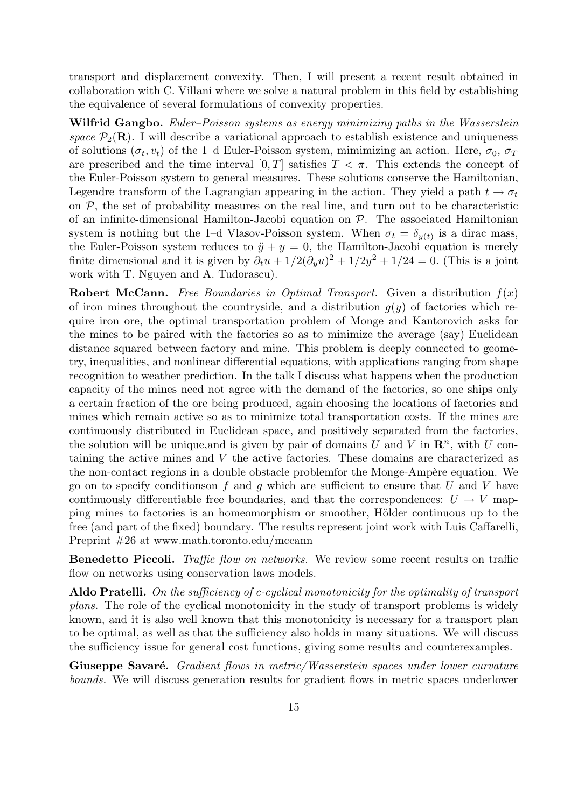transport and displacement convexity. Then, I will present a recent result obtained in collaboration with C. Villani where we solve a natural problem in this field by establishing the equivalence of several formulations of convexity properties.

Wilfrid Gangbo. Euler–Poisson systems as energy minimizing paths in the Wasserstein space  $P_2(\mathbf{R})$ . I will describe a variational approach to establish existence and uniqueness of solutions  $(\sigma_t, v_t)$  of the 1–d Euler-Poisson system, mimimizing an action. Here,  $\sigma_0$ ,  $\sigma_T$ are prescribed and the time interval  $[0, T]$  satisfies  $T < \pi$ . This extends the concept of the Euler-Poisson system to general measures. These solutions conserve the Hamiltonian, Legendre transform of the Lagrangian appearing in the action. They yield a path  $t \to \sigma_t$ on  $P$ , the set of probability measures on the real line, and turn out to be characteristic of an infinite-dimensional Hamilton-Jacobi equation on  $P$ . The associated Hamiltonian system is nothing but the 1-d Vlasov-Poisson system. When  $\sigma_t = \delta_{y(t)}$  is a dirac mass, the Euler-Poisson system reduces to  $\ddot{y} + y = 0$ , the Hamilton-Jacobi equation is merely finite dimensional and it is given by  $\partial_t u + 1/2(\partial_y u)^2 + 1/2y^2 + 1/24 = 0$ . (This is a joint work with T. Nguyen and A. Tudorascu).

**Robert McCann.** Free Boundaries in Optimal Transport. Given a distribution  $f(x)$ of iron mines throughout the countryside, and a distribution  $g(y)$  of factories which require iron ore, the optimal transportation problem of Monge and Kantorovich asks for the mines to be paired with the factories so as to minimize the average (say) Euclidean distance squared between factory and mine. This problem is deeply connected to geometry, inequalities, and nonlinear differential equations, with applications ranging from shape recognition to weather prediction. In the talk I discuss what happens when the production capacity of the mines need not agree with the demand of the factories, so one ships only a certain fraction of the ore being produced, again choosing the locations of factories and mines which remain active so as to minimize total transportation costs. If the mines are continuously distributed in Euclidean space, and positively separated from the factories, the solution will be unique, and is given by pair of domains U and V in  $\mathbb{R}^n$ , with U containing the active mines and V the active factories. These domains are characterized as the non-contact regions in a double obstacle problemfor the Monge-Ampère equation. We go on to specify conditions of f and q which are sufficient to ensure that U and V have continuously differentiable free boundaries, and that the correspondences:  $U \rightarrow V$  mapping mines to factories is an homeomorphism or smoother, Hölder continuous up to the free (and part of the fixed) boundary. The results represent joint work with Luis Caffarelli, Preprint #26 at www.math.toronto.edu/mccann

Benedetto Piccoli. Traffic flow on networks. We review some recent results on traffic flow on networks using conservation laws models.

Aldo Pratelli. On the sufficiency of c-cyclical monotonicity for the optimality of transport plans. The role of the cyclical monotonicity in the study of transport problems is widely known, and it is also well known that this monotonicity is necessary for a transport plan to be optimal, as well as that the sufficiency also holds in many situations. We will discuss the sufficiency issue for general cost functions, giving some results and counterexamples.

Giuseppe Savaré. Gradient flows in metric/Wasserstein spaces under lower curvature bounds. We will discuss generation results for gradient flows in metric spaces underlower